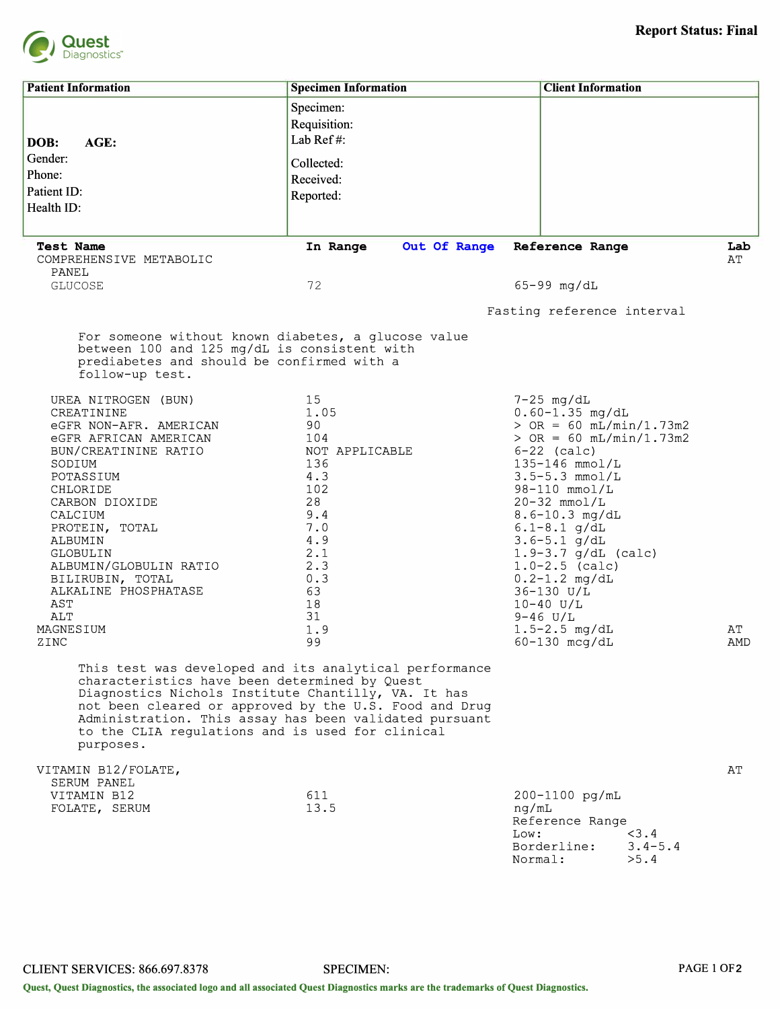

| <b>Patient Information</b>                                                                                                                                                                                                                                                                                                                          | <b>Specimen Information</b> | <b>Client Information</b>                                                                   |           |  |  |  |
|-----------------------------------------------------------------------------------------------------------------------------------------------------------------------------------------------------------------------------------------------------------------------------------------------------------------------------------------------------|-----------------------------|---------------------------------------------------------------------------------------------|-----------|--|--|--|
|                                                                                                                                                                                                                                                                                                                                                     |                             |                                                                                             |           |  |  |  |
|                                                                                                                                                                                                                                                                                                                                                     | Specimen:                   |                                                                                             |           |  |  |  |
|                                                                                                                                                                                                                                                                                                                                                     | Requisition:                |                                                                                             |           |  |  |  |
| AGE:<br>DOB:                                                                                                                                                                                                                                                                                                                                        | Lab Ref#:                   |                                                                                             |           |  |  |  |
| Gender:                                                                                                                                                                                                                                                                                                                                             | Collected:                  |                                                                                             |           |  |  |  |
| Phone:                                                                                                                                                                                                                                                                                                                                              | Received:                   |                                                                                             |           |  |  |  |
| Patient ID:                                                                                                                                                                                                                                                                                                                                         | Reported:                   |                                                                                             |           |  |  |  |
| Health ID:                                                                                                                                                                                                                                                                                                                                          |                             |                                                                                             |           |  |  |  |
|                                                                                                                                                                                                                                                                                                                                                     |                             |                                                                                             |           |  |  |  |
| <b>Test Name</b><br>COMPREHENSIVE METABOLIC<br>PANEL                                                                                                                                                                                                                                                                                                | Out Of Range<br>In Range    | Reference Range                                                                             | Lab<br>AT |  |  |  |
| <b>GLUCOSE</b>                                                                                                                                                                                                                                                                                                                                      | 72                          | $65-99$ mg/dL                                                                               |           |  |  |  |
|                                                                                                                                                                                                                                                                                                                                                     |                             |                                                                                             |           |  |  |  |
|                                                                                                                                                                                                                                                                                                                                                     |                             | Fasting reference interval                                                                  |           |  |  |  |
| For someone without known diabetes, a glucose value<br>between 100 and 125 mg/dL is consistent with<br>prediabetes and should be confirmed with a<br>follow-up test.                                                                                                                                                                                |                             |                                                                                             |           |  |  |  |
| UREA NITROGEN (BUN)                                                                                                                                                                                                                                                                                                                                 | 15                          | $7-25$ mg/dL                                                                                |           |  |  |  |
| CREATININE                                                                                                                                                                                                                                                                                                                                          | 1.05                        | $0.60 - 1.35$ mg/dL                                                                         |           |  |  |  |
| eGFR NON-AFR. AMERICAN                                                                                                                                                                                                                                                                                                                              | 90                          | $>$ OR = 60 mL/min/1.73m2                                                                   |           |  |  |  |
| eGFR AFRICAN AMERICAN<br>BUN/CREATININE RATIO                                                                                                                                                                                                                                                                                                       | 104<br>NOT APPLICABLE       | $>$ OR = 60 mL/min/1.73m2<br>$6-22$ (calc)                                                  |           |  |  |  |
| SODIUM                                                                                                                                                                                                                                                                                                                                              | 136                         | $135 - 146$ mmol/L                                                                          |           |  |  |  |
| POTASSIUM                                                                                                                                                                                                                                                                                                                                           | 4.3                         | $3.5 - 5.3$ mmol/L                                                                          |           |  |  |  |
| CHLORIDE                                                                                                                                                                                                                                                                                                                                            | 102                         | $98-110$ mmol/L                                                                             |           |  |  |  |
| CARBON DIOXIDE                                                                                                                                                                                                                                                                                                                                      | 28<br>9.4                   | $20-32$ mmol/L                                                                              |           |  |  |  |
| CALCIUM<br>PROTEIN, TOTAL                                                                                                                                                                                                                                                                                                                           | 7.0                         | $8.6 - 10.3$ mg/dL<br>$6.1 - 8.1$ g/dL                                                      |           |  |  |  |
| ALBUMIN                                                                                                                                                                                                                                                                                                                                             | 4.9                         | $3.6 - 5.1$ g/dL                                                                            |           |  |  |  |
| GLOBULIN                                                                                                                                                                                                                                                                                                                                            | 2.1                         | $1.9 - 3.7$ g/dL (calc)                                                                     |           |  |  |  |
| ALBUMIN/GLOBULIN RATIO                                                                                                                                                                                                                                                                                                                              | 2.3                         | $1.0-2.5$ (calc)                                                                            |           |  |  |  |
| BILIRUBIN, TOTAL<br>ALKALINE PHOSPHATASE                                                                                                                                                                                                                                                                                                            | 0.3<br>63                   | $0.2 - 1.2$ mg/dL<br>36-130 U/L                                                             |           |  |  |  |
| AST                                                                                                                                                                                                                                                                                                                                                 | 18                          | $10 - 40$ U/L                                                                               |           |  |  |  |
| ALT                                                                                                                                                                                                                                                                                                                                                 | 31                          | $9 - 46$ U/L                                                                                |           |  |  |  |
| MAGNESIUM                                                                                                                                                                                                                                                                                                                                           | 1.9                         | $1.5 - 2.5$ mg/dL                                                                           | AΤ        |  |  |  |
| ZINC                                                                                                                                                                                                                                                                                                                                                | 99                          | $60-130$ mcg/dL                                                                             | AMD       |  |  |  |
| This test was developed and its analytical performance<br>characteristics have been determined by Quest<br>Diagnostics Nichols Institute Chantilly, VA. It has<br>not been cleared or approved by the U.S. Food and Drug<br>Administration. This assay has been validated pursuant<br>to the CLIA regulations and is used for clinical<br>purposes. |                             |                                                                                             |           |  |  |  |
|                                                                                                                                                                                                                                                                                                                                                     |                             |                                                                                             |           |  |  |  |
| VITAMIN B12/FOLATE,<br>SERUM PANEL                                                                                                                                                                                                                                                                                                                  |                             |                                                                                             | AΤ        |  |  |  |
| VITAMIN B12                                                                                                                                                                                                                                                                                                                                         | 611                         | 200-1100 pg/mL                                                                              |           |  |  |  |
| FOLATE, SERUM                                                                                                                                                                                                                                                                                                                                       | 13.5                        | ng/mL<br>Reference Range<br>< 3.4<br>Low:<br>Borderline:<br>$3.4 - 5.4$<br>Normal:<br>> 5.4 |           |  |  |  |